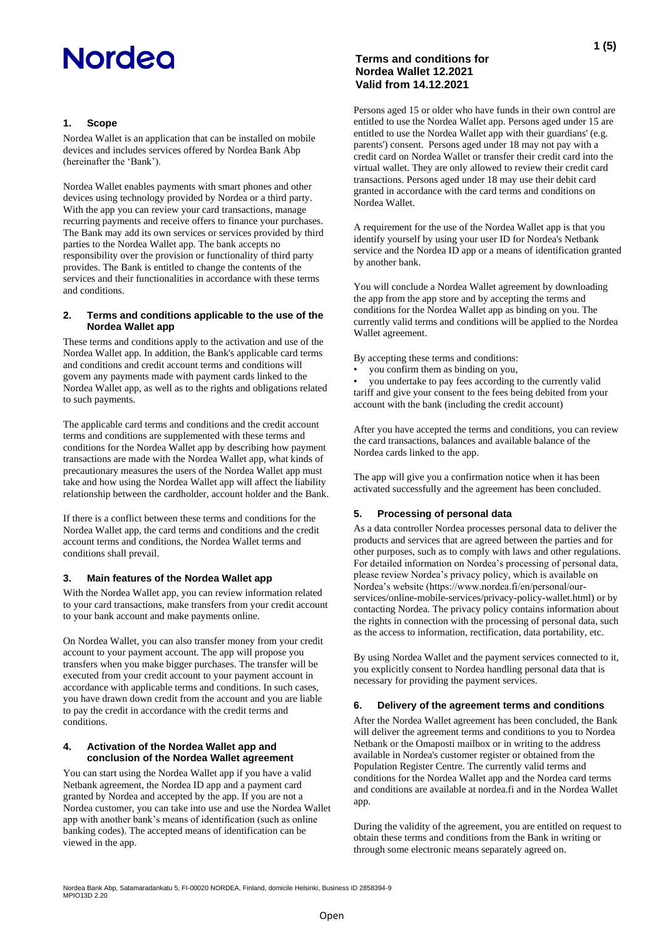## **1. Scope**

Nordea Wallet is an application that can be installed on mobile devices and includes services offered by Nordea Bank Abp (hereinafter the 'Bank').

Nordea Wallet enables payments with smart phones and other devices using technology provided by Nordea or a third party. With the app you can review your card transactions, manage recurring payments and receive offers to finance your purchases. The Bank may add its own services or services provided by third parties to the Nordea Wallet app. The bank accepts no responsibility over the provision or functionality of third party provides. The Bank is entitled to change the contents of the services and their functionalities in accordance with these terms and conditions.

#### **2. Terms and conditions applicable to the use of the Nordea Wallet app**

These terms and conditions apply to the activation and use of the Nordea Wallet app. In addition, the Bank's applicable card terms and conditions and credit account terms and conditions will govern any payments made with payment cards linked to the Nordea Wallet app, as well as to the rights and obligations related to such payments.

The applicable card terms and conditions and the credit account terms and conditions are supplemented with these terms and conditions for the Nordea Wallet app by describing how payment transactions are made with the Nordea Wallet app, what kinds of precautionary measures the users of the Nordea Wallet app must take and how using the Nordea Wallet app will affect the liability relationship between the cardholder, account holder and the Bank.

If there is a conflict between these terms and conditions for the Nordea Wallet app, the card terms and conditions and the credit account terms and conditions, the Nordea Wallet terms and conditions shall prevail.

### **3. Main features of the Nordea Wallet app**

With the Nordea Wallet app, you can review information related to your card transactions, make transfers from your credit account to your bank account and make payments online.

On Nordea Wallet, you can also transfer money from your credit account to your payment account. The app will propose you transfers when you make bigger purchases. The transfer will be executed from your credit account to your payment account in accordance with applicable terms and conditions. In such cases, you have drawn down credit from the account and you are liable to pay the credit in accordance with the credit terms and conditions.

### **4. Activation of the Nordea Wallet app and conclusion of the Nordea Wallet agreement**

You can start using the Nordea Wallet app if you have a valid Netbank agreement, the Nordea ID app and a payment card granted by Nordea and accepted by the app. If you are not a Nordea customer, you can take into use and use the Nordea Wallet app with another bank's means of identification (such as online banking codes). The accepted means of identification can be viewed in the app.

## **Terms and conditions for Nordea Wallet 12.2021 Valid from 14.12.2021**

Persons aged 15 or older who have funds in their own control are entitled to use the Nordea Wallet app. Persons aged under 15 are entitled to use the Nordea Wallet app with their guardians' (e.g. parents') consent. Persons aged under 18 may not pay with a credit card on Nordea Wallet or transfer their credit card into the virtual wallet. They are only allowed to review their credit card transactions. Persons aged under 18 may use their debit card granted in accordance with the card terms and conditions on Nordea Wallet.

A requirement for the use of the Nordea Wallet app is that you identify yourself by using your user ID for Nordea's Netbank service and the Nordea ID app or a means of identification granted by another bank.

You will conclude a Nordea Wallet agreement by downloading the app from the app store and by accepting the terms and conditions for the Nordea Wallet app as binding on you. The currently valid terms and conditions will be applied to the Nordea Wallet agreement.

By accepting these terms and conditions:

• you confirm them as binding on you,

• you undertake to pay fees according to the currently valid tariff and give your consent to the fees being debited from your account with the bank (including the credit account)

After you have accepted the terms and conditions, you can review the card transactions, balances and available balance of the Nordea cards linked to the app.

The app will give you a confirmation notice when it has been activated successfully and the agreement has been concluded.

### **5. Processing of personal data**

As a data controller Nordea processes personal data to deliver the products and services that are agreed between the parties and for other purposes, such as to comply with laws and other regulations. For detailed information on Nordea's processing of personal data, please review Nordea's privacy policy, which is available on Nordea's website (https://www.nordea.fi/en/personal/ourservices/online-mobile-services/privacy-policy-wallet.html) or by contacting Nordea. The privacy policy contains information about the rights in connection with the processing of personal data, such as the access to information, rectification, data portability, etc.

By using Nordea Wallet and the payment services connected to it, you explicitly consent to Nordea handling personal data that is necessary for providing the payment services.

### **6. Delivery of the agreement terms and conditions**

After the Nordea Wallet agreement has been concluded, the Bank will deliver the agreement terms and conditions to you to Nordea Netbank or the Omaposti mailbox or in writing to the address available in Nordea's customer register or obtained from the Population Register Centre. The currently valid terms and conditions for the Nordea Wallet app and the Nordea card terms and conditions are available at nordea.fi and in the Nordea Wallet app.

During the validity of the agreement, you are entitled on request to obtain these terms and conditions from the Bank in writing or through some electronic means separately agreed on.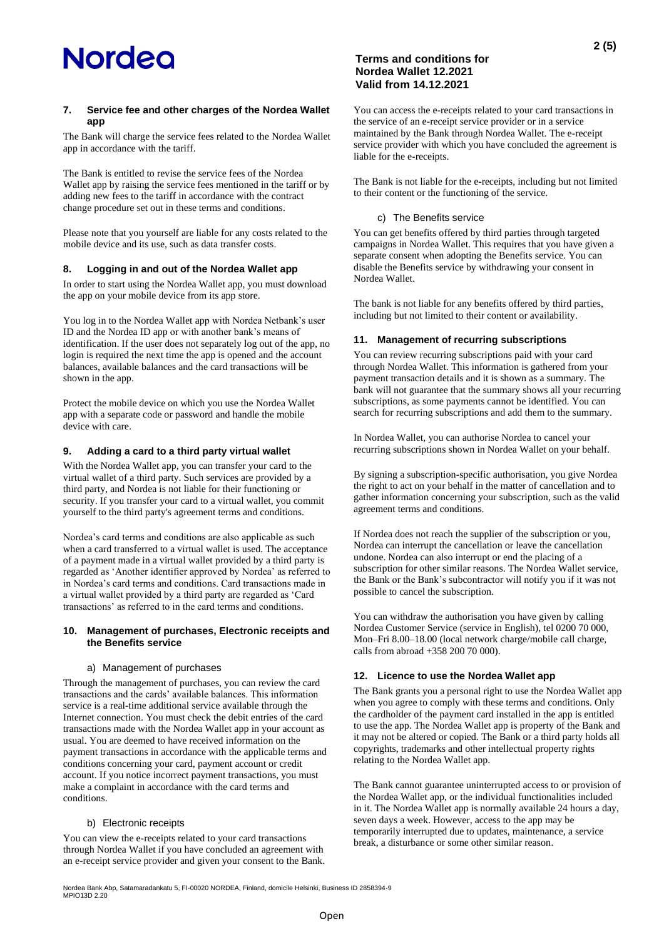## **7. Service fee and other charges of the Nordea Wallet app**

The Bank will charge the service fees related to the Nordea Wallet app in accordance with the tariff.

The Bank is entitled to revise the service fees of the Nordea Wallet app by raising the service fees mentioned in the tariff or by adding new fees to the tariff in accordance with the contract change procedure set out in these terms and conditions.

Please note that you yourself are liable for any costs related to the mobile device and its use, such as data transfer costs.

### **8. Logging in and out of the Nordea Wallet app**

In order to start using the Nordea Wallet app, you must download the app on your mobile device from its app store.

You log in to the Nordea Wallet app with Nordea Netbank's user ID and the Nordea ID app or with another bank's means of identification. If the user does not separately log out of the app, no login is required the next time the app is opened and the account balances, available balances and the card transactions will be shown in the app.

Protect the mobile device on which you use the Nordea Wallet app with a separate code or password and handle the mobile device with care.

## **9. Adding a card to a third party virtual wallet**

With the Nordea Wallet app, you can transfer your card to the virtual wallet of a third party. Such services are provided by a third party, and Nordea is not liable for their functioning or security. If you transfer your card to a virtual wallet, you commit yourself to the third party's agreement terms and conditions.

Nordea's card terms and conditions are also applicable as such when a card transferred to a virtual wallet is used. The acceptance of a payment made in a virtual wallet provided by a third party is regarded as 'Another identifier approved by Nordea' as referred to in Nordea's card terms and conditions. Card transactions made in a virtual wallet provided by a third party are regarded as 'Card transactions' as referred to in the card terms and conditions.

### **10. Management of purchases, Electronic receipts and the Benefits service**

### a) Management of purchases

Through the management of purchases, you can review the card transactions and the cards' available balances. This information service is a real-time additional service available through the Internet connection. You must check the debit entries of the card transactions made with the Nordea Wallet app in your account as usual. You are deemed to have received information on the payment transactions in accordance with the applicable terms and conditions concerning your card, payment account or credit account. If you notice incorrect payment transactions, you must make a complaint in accordance with the card terms and conditions.

## b) Electronic receipts

You can view the e-receipts related to your card transactions through Nordea Wallet if you have concluded an agreement with an e-receipt service provider and given your consent to the Bank.

## **Terms and conditions for Nordea Wallet 12.2021 Valid from 14.12.2021**

You can access the e-receipts related to your card transactions in the service of an e-receipt service provider or in a service maintained by the Bank through Nordea Wallet. The e-receipt service provider with which you have concluded the agreement is liable for the e-receipts.

The Bank is not liable for the e-receipts, including but not limited to their content or the functioning of the service.

## c) The Benefits service

You can get benefits offered by third parties through targeted campaigns in Nordea Wallet. This requires that you have given a separate consent when adopting the Benefits service. You can disable the Benefits service by withdrawing your consent in Nordea Wallet.

The bank is not liable for any benefits offered by third parties, including but not limited to their content or availability.

### **11. Management of recurring subscriptions**

You can review recurring subscriptions paid with your card through Nordea Wallet. This information is gathered from your payment transaction details and it is shown as a summary. The bank will not guarantee that the summary shows all your recurring subscriptions, as some payments cannot be identified. You can search for recurring subscriptions and add them to the summary.

In Nordea Wallet, you can authorise Nordea to cancel your recurring subscriptions shown in Nordea Wallet on your behalf.

By signing a subscription-specific authorisation, you give Nordea the right to act on your behalf in the matter of cancellation and to gather information concerning your subscription, such as the valid agreement terms and conditions.

If Nordea does not reach the supplier of the subscription or you, Nordea can interrupt the cancellation or leave the cancellation undone. Nordea can also interrupt or end the placing of a subscription for other similar reasons. The Nordea Wallet service, the Bank or the Bank's subcontractor will notify you if it was not possible to cancel the subscription.

You can withdraw the authorisation you have given by calling Nordea Customer Service (service in English), tel 0200 70 000, Mon–Fri 8.00–18.00 (local network charge/mobile call charge, calls from abroad +358 200 70 000).

### **12. Licence to use the Nordea Wallet app**

The Bank grants you a personal right to use the Nordea Wallet app when you agree to comply with these terms and conditions. Only the cardholder of the payment card installed in the app is entitled to use the app. The Nordea Wallet app is property of the Bank and it may not be altered or copied. The Bank or a third party holds all copyrights, trademarks and other intellectual property rights relating to the Nordea Wallet app.

The Bank cannot guarantee uninterrupted access to or provision of the Nordea Wallet app, or the individual functionalities included in it. The Nordea Wallet app is normally available 24 hours a day, seven days a week. However, access to the app may be temporarily interrupted due to updates, maintenance, a service break, a disturbance or some other similar reason.

Nordea Bank Abp, Satamaradankatu 5, FI-00020 NORDEA, Finland, domicile Helsinki, Business ID 2858394-9 MPIO13D 2.20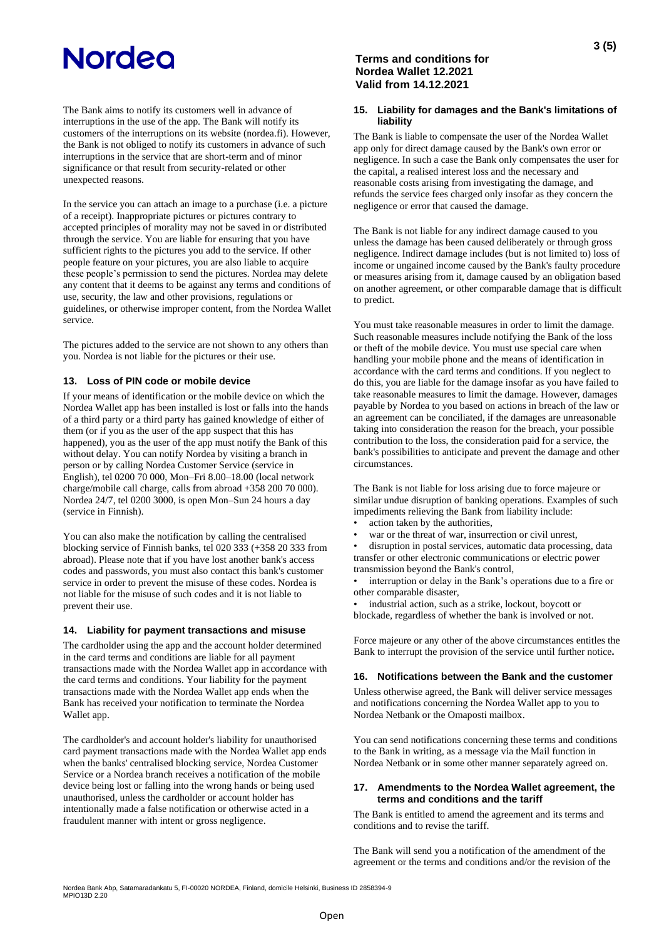The Bank aims to notify its customers well in advance of interruptions in the use of the app. The Bank will notify its customers of the interruptions on its website (nordea.fi). However, the Bank is not obliged to notify its customers in advance of such interruptions in the service that are short-term and of minor significance or that result from security-related or other unexpected reasons.

In the service you can attach an image to a purchase (i.e. a picture of a receipt). Inappropriate pictures or pictures contrary to accepted principles of morality may not be saved in or distributed through the service. You are liable for ensuring that you have sufficient rights to the pictures you add to the service. If other people feature on your pictures, you are also liable to acquire these people's permission to send the pictures. Nordea may delete any content that it deems to be against any terms and conditions of use, security, the law and other provisions, regulations or guidelines, or otherwise improper content, from the Nordea Wallet service.

The pictures added to the service are not shown to any others than you. Nordea is not liable for the pictures or their use.

## **13. Loss of PIN code or mobile device**

If your means of identification or the mobile device on which the Nordea Wallet app has been installed is lost or falls into the hands of a third party or a third party has gained knowledge of either of them (or if you as the user of the app suspect that this has happened), you as the user of the app must notify the Bank of this without delay. You can notify Nordea by visiting a branch in person or by calling Nordea Customer Service (service in English), tel 0200 70 000, Mon–Fri 8.00–18.00 (local network charge/mobile call charge, calls from abroad +358 200 70 000). Nordea 24/7, tel 0200 3000, is open Mon–Sun 24 hours a day (service in Finnish).

You can also make the notification by calling the centralised blocking service of Finnish banks, tel 020 333 (+358 20 333 from abroad). Please note that if you have lost another bank's access codes and passwords, you must also contact this bank's customer service in order to prevent the misuse of these codes. Nordea is not liable for the misuse of such codes and it is not liable to prevent their use.

### **14. Liability for payment transactions and misuse**

The cardholder using the app and the account holder determined in the card terms and conditions are liable for all payment transactions made with the Nordea Wallet app in accordance with the card terms and conditions. Your liability for the payment transactions made with the Nordea Wallet app ends when the Bank has received your notification to terminate the Nordea Wallet app.

The cardholder's and account holder's liability for unauthorised card payment transactions made with the Nordea Wallet app ends when the banks' centralised blocking service, Nordea Customer Service or a Nordea branch receives a notification of the mobile device being lost or falling into the wrong hands or being used unauthorised, unless the cardholder or account holder has intentionally made a false notification or otherwise acted in a fraudulent manner with intent or gross negligence.

## **Terms and conditions for Nordea Wallet 12.2021 Valid from 14.12.2021**

### **15. Liability for damages and the Bank's limitations of liability**

The Bank is liable to compensate the user of the Nordea Wallet app only for direct damage caused by the Bank's own error or negligence. In such a case the Bank only compensates the user for the capital, a realised interest loss and the necessary and reasonable costs arising from investigating the damage, and refunds the service fees charged only insofar as they concern the negligence or error that caused the damage.

The Bank is not liable for any indirect damage caused to you unless the damage has been caused deliberately or through gross negligence. Indirect damage includes (but is not limited to) loss of income or ungained income caused by the Bank's faulty procedure or measures arising from it, damage caused by an obligation based on another agreement, or other comparable damage that is difficult to predict.

You must take reasonable measures in order to limit the damage. Such reasonable measures include notifying the Bank of the loss or theft of the mobile device. You must use special care when handling your mobile phone and the means of identification in accordance with the card terms and conditions. If you neglect to do this, you are liable for the damage insofar as you have failed to take reasonable measures to limit the damage. However, damages payable by Nordea to you based on actions in breach of the law or an agreement can be conciliated, if the damages are unreasonable taking into consideration the reason for the breach, your possible contribution to the loss, the consideration paid for a service, the bank's possibilities to anticipate and prevent the damage and other circumstances.

The Bank is not liable for loss arising due to force majeure or similar undue disruption of banking operations. Examples of such impediments relieving the Bank from liability include:

- action taken by the authorities,
- war or the threat of war, insurrection or civil unrest,

• disruption in postal services, automatic data processing, data transfer or other electronic communications or electric power transmission beyond the Bank's control,

interruption or delay in the Bank's operations due to a fire or other comparable disaster,

industrial action, such as a strike, lockout, boycott or blockade, regardless of whether the bank is involved or not.

Force majeure or any other of the above circumstances entitles the Bank to interrupt the provision of the service until further notice**.**

### **16. Notifications between the Bank and the customer**

Unless otherwise agreed, the Bank will deliver service messages and notifications concerning the Nordea Wallet app to you to Nordea Netbank or the Omaposti mailbox.

You can send notifications concerning these terms and conditions to the Bank in writing, as a message via the Mail function in Nordea Netbank or in some other manner separately agreed on.

### **17. Amendments to the Nordea Wallet agreement, the terms and conditions and the tariff**

The Bank is entitled to amend the agreement and its terms and conditions and to revise the tariff.

The Bank will send you a notification of the amendment of the agreement or the terms and conditions and/or the revision of the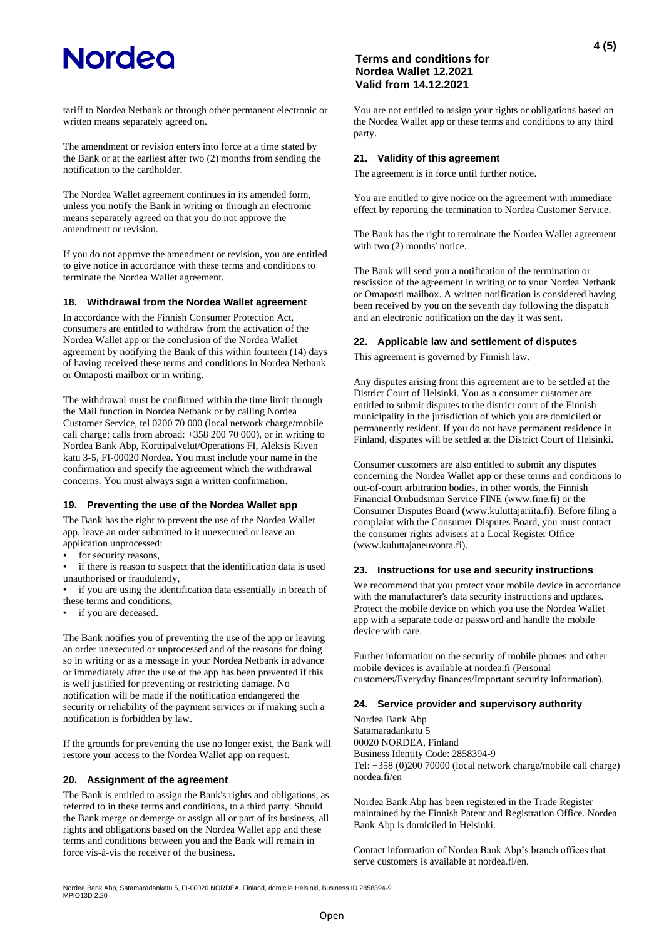The amendment or revision enters into force at a time stated by the Bank or at the earliest after two (2) months from sending the notification to the cardholder.

The Nordea Wallet agreement continues in its amended form, unless you notify the Bank in writing or through an electronic means separately agreed on that you do not approve the amendment or revision.

If you do not approve the amendment or revision, you are entitled to give notice in accordance with these terms and conditions to terminate the Nordea Wallet agreement.

### **18. Withdrawal from the Nordea Wallet agreement**

In accordance with the Finnish Consumer Protection Act, consumers are entitled to withdraw from the activation of the Nordea Wallet app or the conclusion of the Nordea Wallet agreement by notifying the Bank of this within fourteen (14) days of having received these terms and conditions in Nordea Netbank or Omaposti mailbox or in writing.

The withdrawal must be confirmed within the time limit through the Mail function in Nordea Netbank or by calling Nordea Customer Service, tel 0200 70 000 (local network charge/mobile call charge; calls from abroad: +358 200 70 000), or in writing to Nordea Bank Abp, Korttipalvelut/Operations FI, Aleksis Kiven katu 3-5, FI-00020 Nordea. You must include your name in the confirmation and specify the agreement which the withdrawal concerns. You must always sign a written confirmation.

### **19. Preventing the use of the Nordea Wallet app**

The Bank has the right to prevent the use of the Nordea Wallet app, leave an order submitted to it unexecuted or leave an application unprocessed:

for security reasons,

if there is reason to suspect that the identification data is used unauthorised or fraudulently,

if you are using the identification data essentially in breach of these terms and conditions,

if you are deceased.

The Bank notifies you of preventing the use of the app or leaving an order unexecuted or unprocessed and of the reasons for doing so in writing or as a message in your Nordea Netbank in advance or immediately after the use of the app has been prevented if this is well justified for preventing or restricting damage. No notification will be made if the notification endangered the security or reliability of the payment services or if making such a notification is forbidden by law.

If the grounds for preventing the use no longer exist, the Bank will restore your access to the Nordea Wallet app on request.

## **20. Assignment of the agreement**

The Bank is entitled to assign the Bank's rights and obligations, as referred to in these terms and conditions, to a third party. Should the Bank merge or demerge or assign all or part of its business, all rights and obligations based on the Nordea Wallet app and these terms and conditions between you and the Bank will remain in force vis-à-vis the receiver of the business.

## **Terms and conditions for Nordea Wallet 12.2021 Valid from 14.12.2021**

You are not entitled to assign your rights or obligations based on the Nordea Wallet app or these terms and conditions to any third party.

### **21. Validity of this agreement**

The agreement is in force until further notice.

You are entitled to give notice on the agreement with immediate effect by reporting the termination to Nordea Customer Service.

The Bank has the right to terminate the Nordea Wallet agreement with two  $(2)$  months' notice.

The Bank will send you a notification of the termination or rescission of the agreement in writing or to your Nordea Netbank or Omaposti mailbox. A written notification is considered having been received by you on the seventh day following the dispatch and an electronic notification on the day it was sent.

## **22. Applicable law and settlement of disputes**

This agreement is governed by Finnish law.

Any disputes arising from this agreement are to be settled at the District Court of Helsinki. You as a consumer customer are entitled to submit disputes to the district court of the Finnish municipality in the jurisdiction of which you are domiciled or permanently resident. If you do not have permanent residence in Finland, disputes will be settled at the District Court of Helsinki.

Consumer customers are also entitled to submit any disputes concerning the Nordea Wallet app or these terms and conditions to out-of-court arbitration bodies, in other words, the Finnish Financial Ombudsman Service FINE (www.fine.fi) or the Consumer Disputes Board (www.kuluttajariita.fi). Before filing a complaint with the Consumer Disputes Board, you must contact the consumer rights advisers at a Local Register Office (www.kuluttajaneuvonta.fi).

### **23. Instructions for use and security instructions**

We recommend that you protect your mobile device in accordance with the manufacturer's data security instructions and updates. Protect the mobile device on which you use the Nordea Wallet app with a separate code or password and handle the mobile device with care.

Further information on the security of mobile phones and other mobile devices is available at nordea.fi (Personal customers/Everyday finances/Important security information).

### **24. Service provider and supervisory authority**

Nordea Bank Abp Satamaradankatu 5 00020 NORDEA, Finland Business Identity Code: 2858394-9 Tel: +358 (0)200 70000 (local network charge/mobile call charge) nordea.fi/en

Nordea Bank Abp has been registered in the Trade Register maintained by the Finnish Patent and Registration Office. Nordea Bank Abp is domiciled in Helsinki.

Contact information of Nordea Bank Abp's branch offices that serve customers is available at nordea.fi/en.

Nordea Bank Abp, Satamaradankatu 5, FI-00020 NORDEA, Finland, domicile Helsinki, Business ID 2858394-9 MPIO13D 2.20